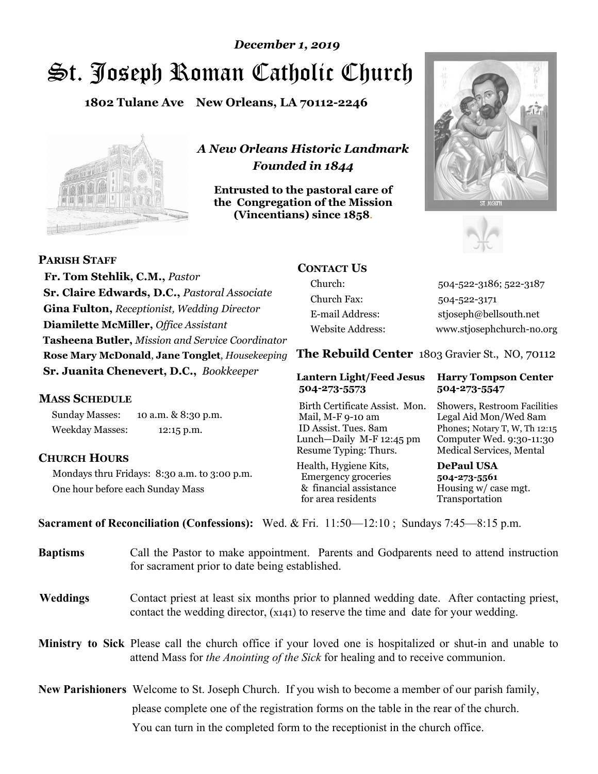# St. Joseph Roman Catholic Church *December 1, 2019*

**1802 Tulane Ave New Orleans, LA 70112-2246**



*A New Orleans Historic Landmark Founded in 1844* 

**Entrusted to the pastoral care of the Congregation of the Mission (Vincentians) since 1858**.





 **Fr. Tom Stehlik, C.M.,** *Pastor* **Sr. Claire Edwards, D.C.,** *Pastoral Associate* **Gina Fulton,** *Receptionist, Wedding Director* **Diamilette McMiller,** *Office Assistant* **Tasheena Butler,** *Mission and Service Coordinator* **Rose Mary McDonald**, **Jane Tonglet**, *Housekeeping* **Sr. Juanita Chenevert, D.C.,** *Bookkeeper* 

#### **MASS SCHEDULE**

**PARISH STAFF**

Sunday Masses: 10 a.m. & 8:30 p.m. Weekday Masses: 12:15 p.m.

### **CHURCH HOURS**

Mondays thru Fridays: 8:30 a.m. to 3:00 p.m. One hour before each Sunday Mass

# **CONTACT US**

Church: 504-522-3186; 522-3187 Church Fax: 504-522-3171 E-mail Address: stjoseph@bellsouth.net Website Address: www.stjosephchurch-no.org

**The Rebuild Center** 1803 Gravier St., NO, 70112

#### **Lantern Light/Feed Jesus Harry Tompson Center 504-273-5573 504-273-5547**

Birth Certificate Assist. Mon. Showers, Restroom Facilities Mail, M-F 9-10 am Legal Aid Mon/Wed 8am ID Assist. Tues. 8am Phones; Notary T, W, Th 12:15 Lunch—Daily M-F 12:45 pm Computer Wed. 9:30-11:30 Resume Typing: Thurs. Medical Services, Mental

Health, Hygiene Kits, **DePaul USA**  Emergency groceries **504-273-5561** & financial assistance Housing w/ case mgt. for area residents Transportation

**Sacrament of Reconciliation (Confessions):** Wed. & Fri. 11:50—12:10 ; Sundays 7:45—8:15 p.m.

| <b>Baptisms</b> | Call the Pastor to make appointment. Parents and Godparents need to attend instruction<br>for sacrament prior to date being established.                                                            |  |
|-----------------|-----------------------------------------------------------------------------------------------------------------------------------------------------------------------------------------------------|--|
| <b>Weddings</b> | Contact priest at least six months prior to planned wedding date. After contacting priest,<br>contact the wedding director, (x141) to reserve the time and date for your wedding.                   |  |
|                 | <b>Ministry to Sick</b> Please call the church office if your loved one is hospitalized or shut-in and unable to<br>attend Mass for the Anointing of the Sick for healing and to receive communion. |  |
|                 | <b>New Parishioners</b> Welcome to St. Joseph Church. If you wish to become a member of our parish family,                                                                                          |  |
|                 | please complete one of the registration forms on the table in the rear of the church.                                                                                                               |  |
|                 | You can turn in the completed form to the reception is the church office.                                                                                                                           |  |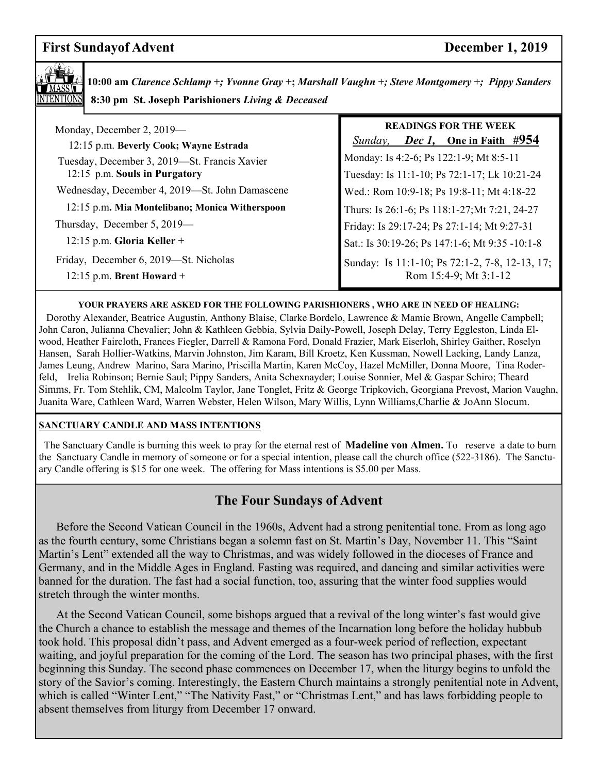# **First Sundayof Advent** December 1, 2019



**10:00 am** *Clarence Schlamp +; Yvonne Gray* **+;** *Marshall Vaughn +; Steve Montgomery +; Pippy Sanders*   **8:30 pm St. Joseph Parishioners** *Living & Deceased* 

| Monday, December 2, 2019—<br>12:15 p.m. Beverly Cook; Wayne Estrada           | <b>READINGS FOR THE WEEK</b><br><i>Dec 1</i> , One in Faith #954<br>Sunday,             |
|-------------------------------------------------------------------------------|-----------------------------------------------------------------------------------------|
| Tuesday, December 3, 2019—St. Francis Xavier<br>12:15 p.m. Souls in Purgatory | Monday: Is 4:2-6; Ps 122:1-9; Mt 8:5-11<br>Tuesday: Is 11:1-10; Ps 72:1-17; Lk 10:21-24 |
| Wednesday, December 4, 2019-St. John Damascene                                | Wed.: Rom 10:9-18; Ps 19:8-11; Mt 4:18-22                                               |
| 12:15 p.m. Mia Montelibano; Monica Witherspoon                                | Thurs: Is 26:1-6; Ps 118:1-27; Mt 7:21, 24-27                                           |
| Thursday, December 5, 2019-                                                   | Friday: Is 29:17-24; Ps 27:1-14; Mt 9:27-31                                             |
| $12:15$ p.m. Gloria Keller +                                                  | Sat.: Is 30:19-26; Ps 147:1-6; Mt 9:35 -10:1-8                                          |
| Friday, December 6, 2019—St. Nicholas<br>$12:15$ p.m. Brent Howard +          | Sunday: Is 11:1-10; Ps 72:1-2, 7-8, 12-13, 17;<br>Rom 15:4-9; Mt 3:1-12                 |

#### **YOUR PRAYERS ARE ASKED FOR THE FOLLOWING PARISHIONERS , WHO ARE IN NEED OF HEALING:**

 Dorothy Alexander, Beatrice Augustin, Anthony Blaise, Clarke Bordelo, Lawrence & Mamie Brown, Angelle Campbell; John Caron, Julianna Chevalier; John & Kathleen Gebbia, Sylvia Daily-Powell, Joseph Delay, Terry Eggleston, Linda Elwood, Heather Faircloth, Frances Fiegler, Darrell & Ramona Ford, Donald Frazier, Mark Eiserloh, Shirley Gaither, Roselyn Hansen, Sarah Hollier-Watkins, Marvin Johnston, Jim Karam, Bill Kroetz, Ken Kussman, Nowell Lacking, Landy Lanza, James Leung, Andrew Marino, Sara Marino, Priscilla Martin, Karen McCoy, Hazel McMiller, Donna Moore, Tina Roderfeld, Irelia Robinson; Bernie Saul; Pippy Sanders, Anita Schexnayder; Louise Sonnier, Mel & Gaspar Schiro; Theard Simms, Fr. Tom Stehlik, CM, Malcolm Taylor, Jane Tonglet, Fritz & George Tripkovich, Georgiana Prevost, Marion Vaughn, Juanita Ware, Cathleen Ward, Warren Webster, Helen Wilson, Mary Willis, Lynn Williams,Charlie & JoAnn Slocum.

#### **SANCTUARY CANDLE AND MASS INTENTIONS**

 The Sanctuary Candle is burning this week to pray for the eternal rest of **Madeline von Almen.** To reserve a date to burn the Sanctuary Candle in memory of someone or for a special intention, please call the church office (522-3186). The Sanctuary Candle offering is \$15 for one week. The offering for Mass intentions is \$5.00 per Mass.

# **The Four Sundays of Advent**

 Before the Second Vatican Council in the 1960s, Advent had a strong penitential tone. From as long ago as the fourth century, some Christians began a solemn fast on St. Martin's Day, November 11. This "Saint Martin's Lent" extended all the way to Christmas, and was widely followed in the dioceses of France and Germany, and in the Middle Ages in England. Fasting was required, and dancing and similar activities were banned for the duration. The fast had a social function, too, assuring that the winter food supplies would stretch through the winter months.

 At the Second Vatican Council, some bishops argued that a revival of the long winter's fast would give the Church a chance to establish the message and themes of the Incarnation long before the holiday hubbub took hold. This proposal didn't pass, and Advent emerged as a four-week period of reflection, expectant waiting, and joyful preparation for the coming of the Lord. The season has two principal phases, with the first beginning this Sunday. The second phase commences on December 17, when the liturgy begins to unfold the story of the Savior's coming. Interestingly, the Eastern Church maintains a strongly penitential note in Advent, which is called "Winter Lent," "The Nativity Fast," or "Christmas Lent," and has laws forbidding people to absent themselves from liturgy from December 17 onward.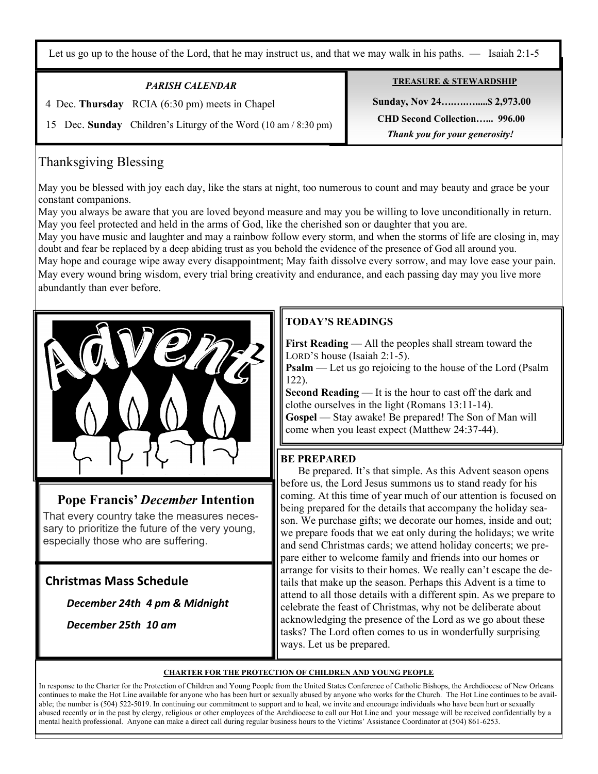Let us go up to the house of the Lord, that he may instruct us, and that we may walk in his paths. — Isaiah 2:1-5

### *PARISH CALENDAR*

4 Dec. **Thursday** RCIA (6:30 pm) meets in Chapel

15 Dec. **Sunday** Children's Liturgy of the Word (10 am / 8:30 pm)

# Thanksgiving Blessing

May you be blessed with joy each day, like the stars at night, too numerous to count and may beauty and grace be your constant companions.

May you always be aware that you are loved beyond measure and may you be willing to love unconditionally in return. May you feel protected and held in the arms of God, like the cherished son or daughter that you are.

May you have music and laughter and may a rainbow follow every storm, and when the storms of life are closing in, may doubt and fear be replaced by a deep abiding trust as you behold the evidence of the presence of God all around you.

May hope and courage wipe away every disappointment; May faith dissolve every sorrow, and may love ease your pain. May every wound bring wisdom, every trial bring creativity and endurance, and each passing day may you live more abundantly than ever before.



# **Pope Francis'** *December* **Intention**

That every country take the measures necessary to prioritize the future of the very young, especially those who are suffering.

# **Christmas Mass Schedule**

 *December 24th 4 pm & Midnight* 

*December 25th 10 am*

# **TODAY'S READINGS**

**First Reading** — All the peoples shall stream toward the LORD'S house (Isaiah 2:1-5).

**Psalm** — Let us go rejoicing to the house of the Lord (Psalm) 122).

**Second Reading** — It is the hour to cast off the dark and clothe ourselves in the light (Romans 13:11-14). **Gospel** — Stay awake! Be prepared! The Son of Man will come when you least expect (Matthew 24:37-44).

### **BE PREPARED**

 Be prepared. It's that simple. As this Advent season opens before us, the Lord Jesus summons us to stand ready for his coming. At this time of year much of our attention is focused on being prepared for the details that accompany the holiday season. We purchase gifts; we decorate our homes, inside and out; we prepare foods that we eat only during the holidays; we write and send Christmas cards; we attend holiday concerts; we prepare either to welcome family and friends into our homes or arrange for visits to their homes. We really can't escape the details that make up the season. Perhaps this Advent is a time to attend to all those details with a different spin. As we prepare to celebrate the feast of Christmas, why not be deliberate about acknowledging the presence of the Lord as we go about these tasks? The Lord often comes to us in wonderfully surprising ways. Let us be prepared.

#### **CHARTER FOR THE PROTECTION OF CHILDREN AND YOUNG PEOPLE**

In response to the Charter for the Protection of Children and Young People from the United States Conference of Catholic Bishops, the Archdiocese of New Orleans continues to make the Hot Line available for anyone who has been hurt or sexually abused by anyone who works for the Church. The Hot Line continues to be available; the number is (504) 522-5019. In continuing our commitment to support and to heal, we invite and encourage individuals who have been hurt or sexually abused recently or in the past by clergy, religious or other employees of the Archdiocese to call our Hot Line and your message will be received confidentially by a mental health professional. Anyone can make a direct call during regular business hours to the Victims' Assistance Coordinator at (504) 861-6253.

#### **TREASURE & STEWARDSHIP**

 **Sunday, Nov 24….….….....\$ 2,973.00 CHD Second Collection…... 996.00**   *Thank you for your generosity!*